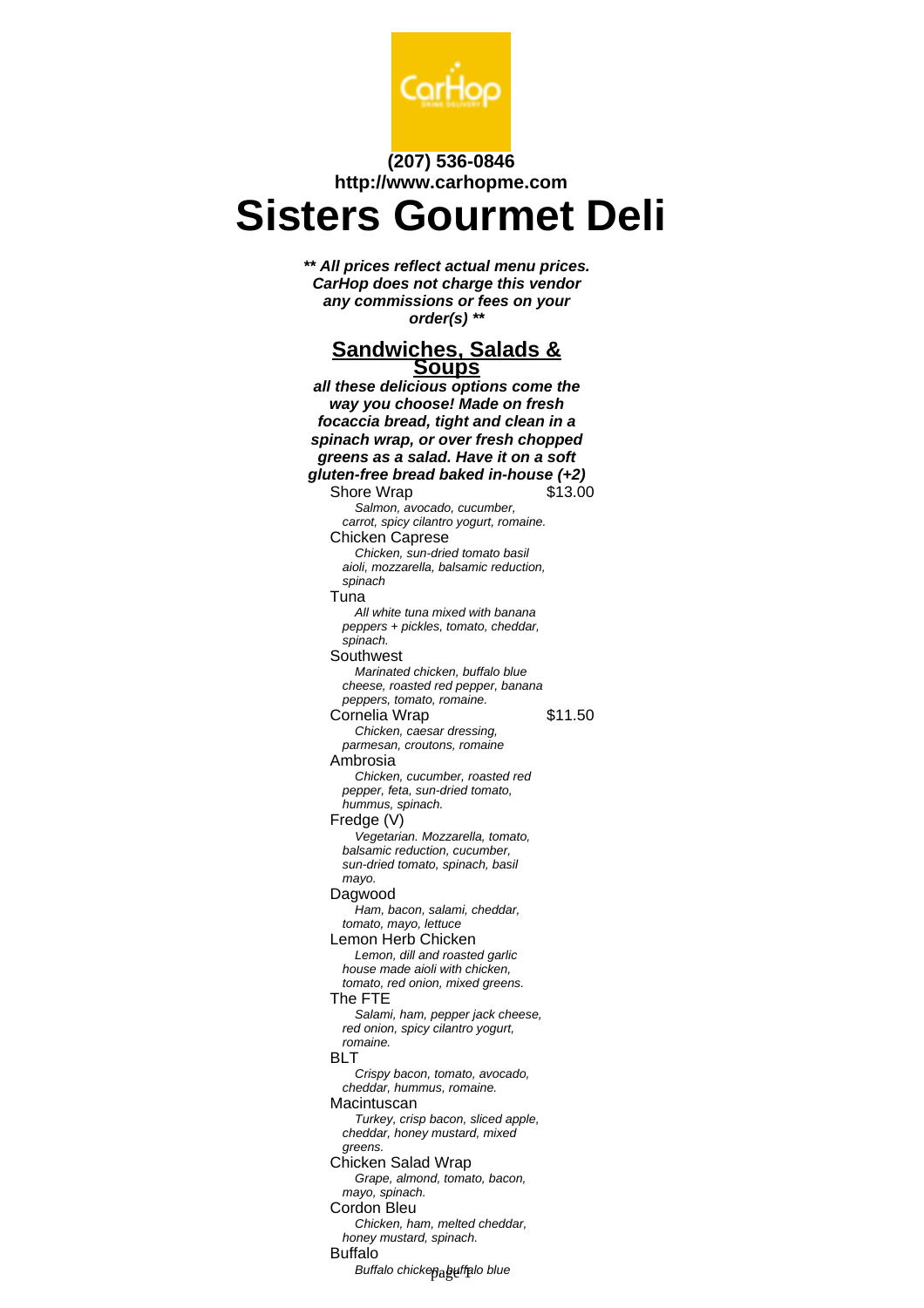

# **(207) 536-0846 http://www.carhopme.com**

# **Sisters Gourmet Deli**

**\*\* All prices reflect actual menu prices. CarHop does not charge this vendor any commissions or fees on your order(s) \*\***

#### **Sandwiches, Salads & Soups**

**all these delicious options come the way you choose! Made on fresh focaccia bread, tight and clean in a spinach wrap, or over fresh chopped greens as a salad. Have it on a soft gluten-free bread baked in-house (+2)** Shore Wrap \$13.00 Salmon, avocado, cucumber, carrot, spicy cilantro yogurt, romaine. Chicken Caprese Chicken, sun-dried tomato basil aioli, mozzarella, balsamic reduction, spinach Tuna All white tuna mixed with banana peppers + pickles, tomato, cheddar, spinach. Southwest Marinated chicken, buffalo blue cheese, roasted red pepper, banana peppers, tomato, romaine. Cornelia Wrap \$11.50 Chicken, caesar dressing, parmesan, croutons, romaine Ambrosia Chicken, cucumber, roasted red pepper, feta, sun-dried tomato, hummus, spinach. Fredge (V) Vegetarian. Mozzarella, tomato, balsamic reduction, cucumber, sun-dried tomato, spinach, basil mayo. Dagwood Ham, bacon, salami, cheddar, tomato, mayo, lettuce Lemon Herb Chicken Lemon, dill and roasted garlic house made aioli with chicken, tomato, red onion, mixed greens. The FTE Salami, ham, pepper jack cheese, red onion, spicy cilantro yogurt, romaine. **BLT** Crispy bacon, tomato, avocado, cheddar, hummus, romaine. Macintuscan Turkey, crisp bacon, sliced apple, cheddar, honey mustard, mixed greens. Chicken Salad Wrap Grape, almond, tomato, bacon, mayo, spinach. Cordon Bleu Chicken, ham, melted cheddar, honey mustard, spinach. Buffalo Buffalo chicken, buffalo blue